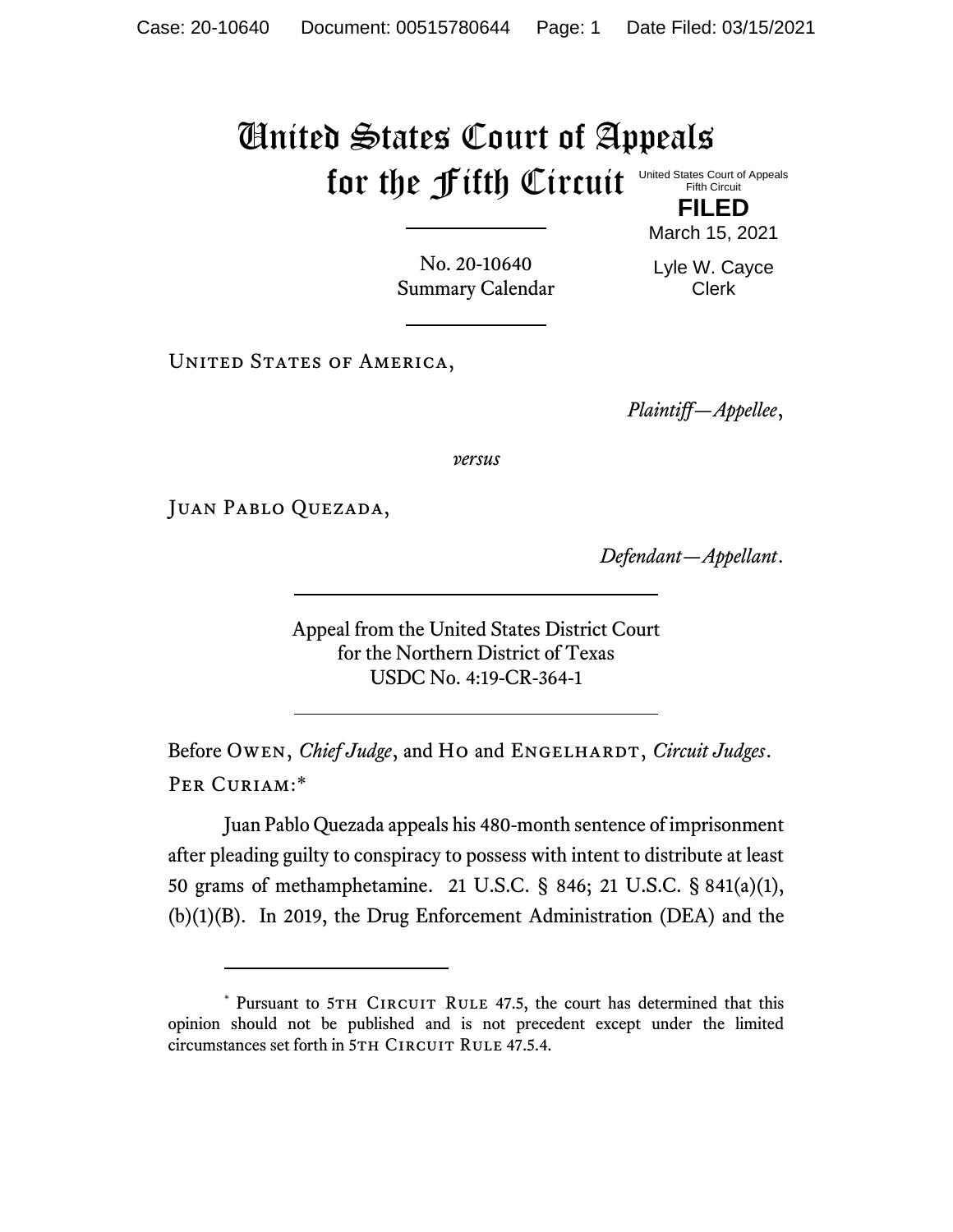## United States Court of Appeals for the Fifth Circuit United States Court of Appeals Fifth Circuit

**FILED** March 15, 2021

No. 20-10640 Summary Calendar Lyle W. Cayce Clerk

UNITED STATES OF AMERICA,

*Plaintiff—Appellee*,

*versus*

JUAN PABLO QUEZADA,

*Defendant—Appellant*.

Appeal from the United States District Court for the Northern District of Texas USDC No. 4:19-CR-364-1

Before Owen, *Chief Judge*, and Ho and ENGELHARDT, *Circuit Judges*. Per Curiam:\*

Juan Pablo Quezada appeals his 480-month sentence of imprisonment after pleading guilty to conspiracy to possess with intent to distribute at least 50 grams of methamphetamine. 21 U.S.C. § 846; 21 U.S.C. § 841(a)(1), (b)(1)(B). In 2019, the Drug Enforcement Administration (DEA) and the

<sup>\*</sup> Pursuant to 5TH CIRCUIT RULE 47.5, the court has determined that this opinion should not be published and is not precedent except under the limited circumstances set forth in 5TH CIRCUIT RULE 47.5.4.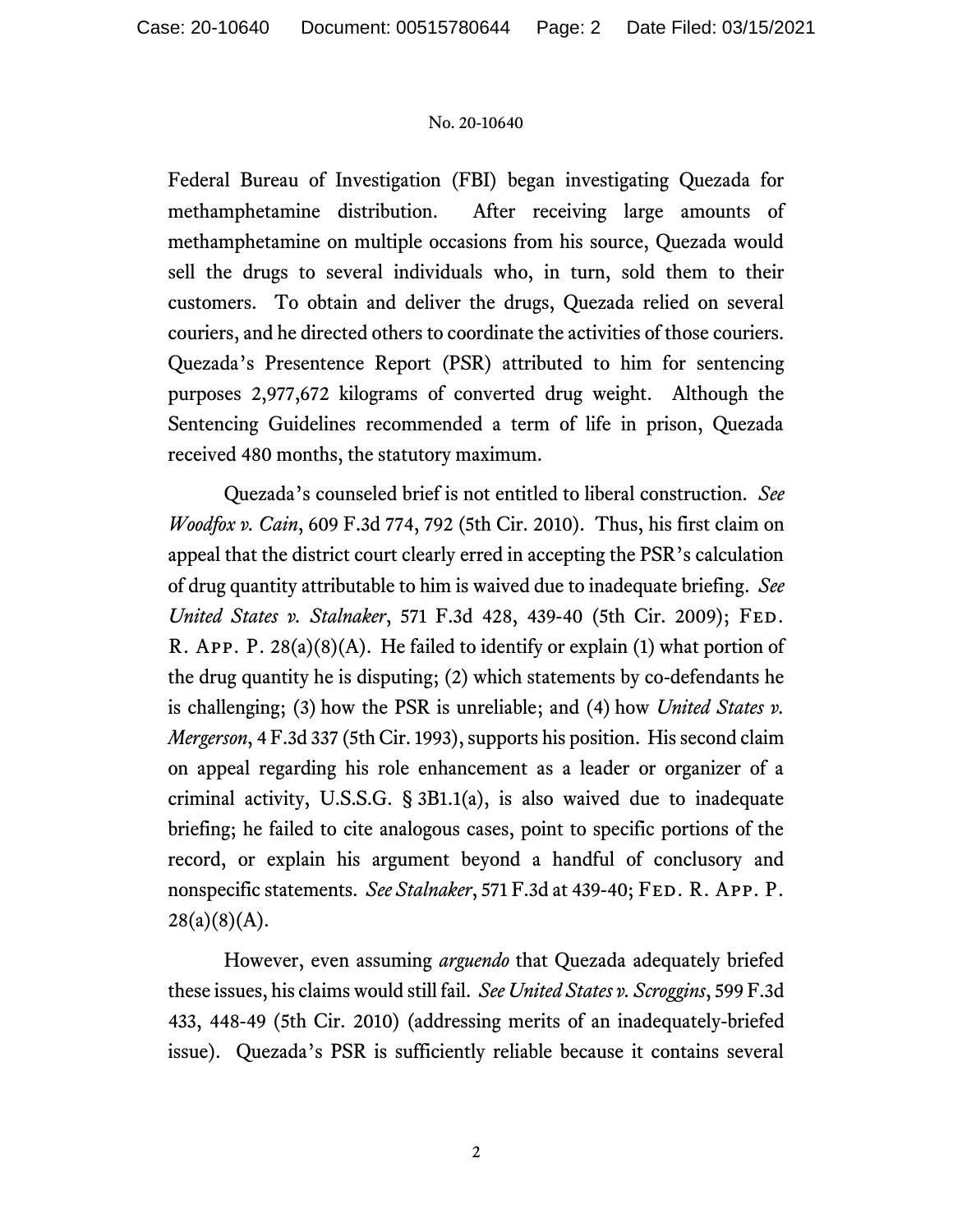## No. 20-10640

Federal Bureau of Investigation (FBI) began investigating Quezada for methamphetamine distribution. After receiving large amounts of methamphetamine on multiple occasions from his source, Quezada would sell the drugs to several individuals who, in turn, sold them to their customers. To obtain and deliver the drugs, Quezada relied on several couriers, and he directed others to coordinate the activities of those couriers. Quezada's Presentence Report (PSR) attributed to him for sentencing purposes 2,977,672 kilograms of converted drug weight. Although the Sentencing Guidelines recommended a term of life in prison, Quezada received 480 months, the statutory maximum.

Quezada's counseled brief is not entitled to liberal construction. *See Woodfox v. Cain*, 609 F.3d 774, 792 (5th Cir. 2010). Thus, his first claim on appeal that the district court clearly erred in accepting the PSR's calculation of drug quantity attributable to him is waived due to inadequate briefing. *See United States v. Stalnaker*, 571 F.3d 428, 439-40 (5th Cir. 2009); Fed. R. App. P.  $28(a)(8)(A)$ . He failed to identify or explain (1) what portion of the drug quantity he is disputing; (2) which statements by co-defendants he is challenging; (3) how the PSR is unreliable; and (4) how *United States v. Mergerson*, 4 F.3d 337 (5th Cir. 1993), supports his position. His second claim on appeal regarding his role enhancement as a leader or organizer of a criminal activity, U.S.S.G. § 3B1.1(a), is also waived due to inadequate briefing; he failed to cite analogous cases, point to specific portions of the record, or explain his argument beyond a handful of conclusory and nonspecific statements. *See Stalnaker*, 571 F.3d at 439-40; FED. R. APP. P.  $28(a)(8)(A)$ .

However, even assuming *arguendo* that Quezada adequately briefed these issues, his claims would still fail. *See United States v. Scroggins*, 599 F.3d 433, 448-49 (5th Cir. 2010) (addressing merits of an inadequately-briefed issue). Quezada's PSR is sufficiently reliable because it contains several